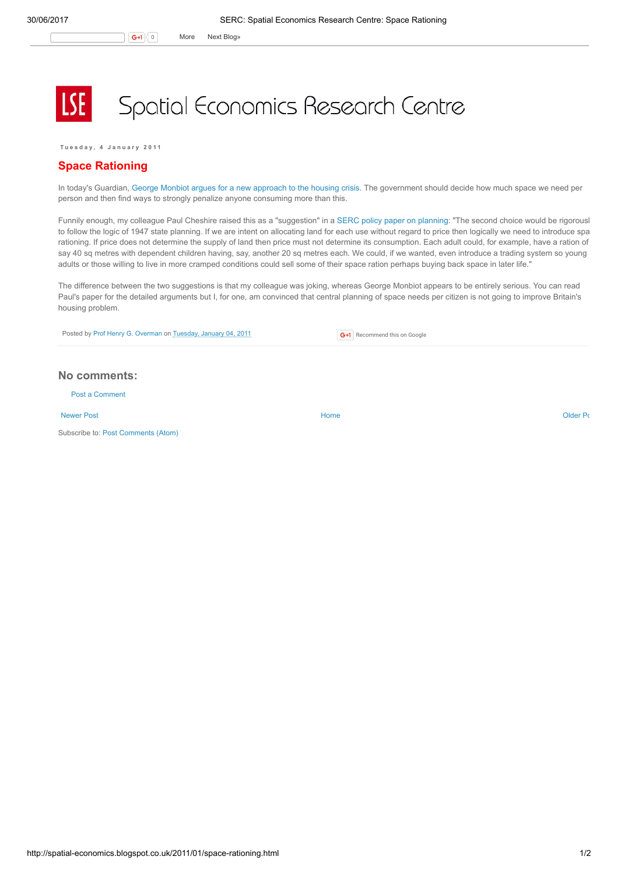## Spatial Economics Research Centre

Tuesday, 4 January 2011

## Space Rationing

In today's Guardian, George Monbiot argues for a new [approach](http://www.guardian.co.uk/commentisfree/2011/jan/04/take-housing-fight-wealthy) to the housing crisis. The government should decide how much space we need per person and then find ways to strongly penalize anyone consuming more than this.

Funnily enough, my colleague Paul Cheshire raised this as a "suggestion" in a SERC policy paper on [planning:](http://www.spatialeconomics.ac.uk/textonly/SERC/publications/download/sercpp004.pdf) "The second choice would be rigorousl to follow the logic of 1947 state planning. If we are intent on allocating land for each use without regard to price then logically we need to introduce spa rationing. If price does not determine the supply of land then price must not determine its consumption. Each adult could, for example, have a ration of say 40 sq metres with dependent children having, say, another 20 sq metres each. We could, if we wanted, even introduce a trading system so young adults or those willing to live in more cramped conditions could sell some of their space ration perhaps buying back space in later life."

The difference between the two suggestions is that my colleague was joking, whereas George Monbiot appears to be entirely serious. You can read Paul's paper for the detailed arguments but I, for one, am convinced that central planning of space needs per citizen is not going to improve Britain's housing problem.

Posted by Prof Henry G. [Overman](https://www.blogger.com/profile/15203876610491317062) on [Tuesday,](http://spatial-economics.blogspot.co.uk/2011/01/space-rationing.html) January 04, 2011

G+1 Recommend this on Google

## No comments:

Post a [Comment](https://www.blogger.com/comment.g?blogID=974562301377041914&postID=3098757119928633830)

[Newer](http://spatial-economics.blogspot.co.uk/2011/01/how-did-london-get-away-with-it.html) Post **New Account Contract Account Contract Account Contract Account Contract Account Contract [Older](http://spatial-economics.blogspot.co.uk/2010/12/its-chaos-out-there.html) Post** 

Subscribe to: Post [Comments](http://spatial-economics.blogspot.com/feeds/3098757119928633830/comments/default) (Atom)